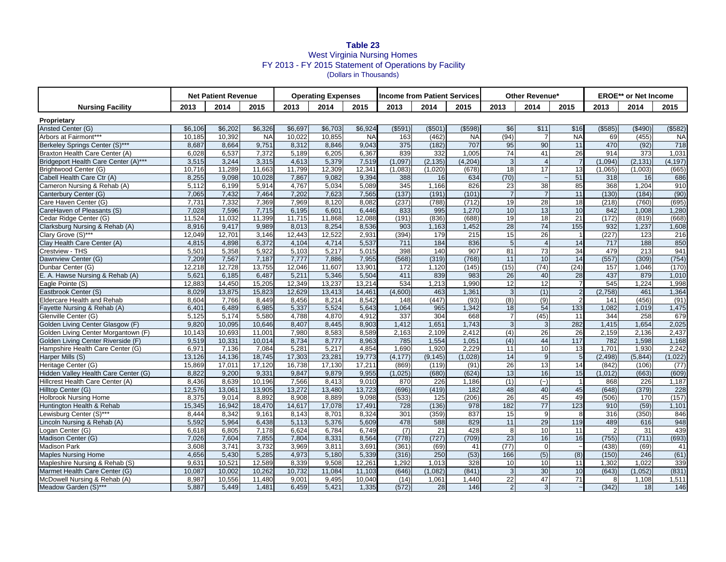## **Table 23** West Virginia Nursing Homes FY 2013 - FY 2015 Statement of Operations by Facility (Dollars in Thousands)

|                                                      | <b>Net Patient Revenue</b><br><b>Income from Patient Services</b><br><b>Operating Expenses</b> |                  |                  |                 |                 | Other Revenue*   |                  |                  |              | <b>EROE**</b> or Net Income     |                       |                |                |             |                  |
|------------------------------------------------------|------------------------------------------------------------------------------------------------|------------------|------------------|-----------------|-----------------|------------------|------------------|------------------|--------------|---------------------------------|-----------------------|----------------|----------------|-------------|------------------|
| <b>Nursing Facility</b>                              | 2013                                                                                           | 2014             | 2015             | 2013            | 2014            | 2015             | 2013             | 2014             | 2015         | 2013                            | 2014                  | 2015           | 2013           | 2014        | 2015             |
| Proprietary                                          |                                                                                                |                  |                  |                 |                 |                  |                  |                  |              |                                 |                       |                |                |             |                  |
| Ansted Center (G)                                    | \$6.106                                                                                        | \$6.202          | \$6.326          | \$6.697         | \$6.703         | \$6.924          | $($ \$591)       | (S501)           | $($ \$598)   | \$6                             | \$11                  | \$16           | ( \$585)       | (\$490)     | (\$582)          |
| Arbors at Fairmont***                                | 10,185                                                                                         | 10,392           | <b>NA</b>        | 10,022          | 10.855          | <b>NA</b>        | 163              | (462)            | <b>NA</b>    | (94)                            | $\overline{7}$        | <b>NA</b>      | 69             | (455)       | <b>NA</b>        |
| Berkeley Springs Center (S)***                       | 8,687                                                                                          | 8,664            | 9.751            | 8,312           | 8.846           | 9,043            | 375              | (182)            | 707          | 95                              | 90                    | 11             | 470            | (92)        | $\overline{718}$ |
| Braxton Health Care Center (A)                       | 6.028                                                                                          | 6.537            | 7.372            | 5.189           | 6.205           | 6,367            | 839              | 332              | 1.005        | 74                              | 41                    | 26             | 914            | 373         | 1,031            |
| Bridgeport Health Care Center (A)***                 | 3,515                                                                                          | 3,244            | 3,315            | 4,613           | 5,379           | 7,519            | (1,097)          | (2, 135)         | (4,204)      | $\mathbf{3}$                    | $\overline{4}$        | $\overline{7}$ | (1,094)        | (2, 131)    | (4, 197)         |
| Brightwood Center (G)                                | 10,716                                                                                         | 11,289           | 11,663           | 11,799          | 12,309          | 12,341           | (1,083)          | (1,020)          | (678)        | 18                              | 17                    | 13             | (1,065)        | (1,003)     | (665)            |
| Cabell Health Care Ctr (A)                           | 8.255                                                                                          | 9.098            | 10.028           | 7,867           | 9.082           | 9.394            | 388              | 16               | 634          | (70)                            |                       | 51             | 318            | 16          | 686              |
| Cameron Nursing & Rehab (A)                          | 5,112                                                                                          | 6,199            | 5,914            | 4,767           | 5,034           | 5,089            | 345              | 1,166            | 826          | 23                              | 38                    | 85             | 368            | 1,204       | 910              |
| Canterbury Center (G)                                | 7.065                                                                                          | 7,432            | 7.464            | 7,202           | 7.623           | 7,565            | (137)            | (191)            | (101)        | $\overline{7}$                  | $\overline{7}$        | 11             | (130)          | (184)       | (90)             |
| Care Haven Center (G)                                | 7,731                                                                                          | 7,332            | 7,369            | 7,969           | 8,120           | 8,082            | (237)            | (788)            | (712)        | 19                              | 28                    | 18             | (218)          | (760)       | (695)            |
| CareHaven of Pleasants (S)                           | 7.028                                                                                          | 7,596            | 7,715            | 6,195           | 6,601           | 6,446            | 833              | 995              | 1,270        | 10                              | 13                    | 10             | 842            | 1,008       | 1,280            |
| Cedar Ridge Center (G)                               | 11.524                                                                                         | 11,032           | 11,399           | 11,715          | 11.868          | 12,088           | (191)            | (836)            | (688)        | 19                              | $\overline{18}$       | 21             | (172)          | (819)       | (668)            |
| Clarksburg Nursing & Rehab (A)                       | 8,916                                                                                          | 9,417            | 9.989            | 8,013           | 8.254           | 8,536            | 903              | 1,163            | 1,452        | 28                              | 74                    | 155            | 932            | 1,237       | 1,608            |
| Clary Grove (S)***                                   | 12,049                                                                                         | 12,701           | 3,146            | 12,443          | 12,522          | 2,931            | (394)            | 179              | 215          | 15                              | 26                    |                | (227)          | 123         | 216              |
| Clay Health Care Center (A)                          | 4.815                                                                                          | 4.898            | 6.372            | 4.104           | 4,714           | 5.537            | 711              | 184              | 836          | $5\overline{)}$                 | $\overline{4}$        | 14             | 717            | 188         | 850              |
| Crestview - THS                                      | 5,501                                                                                          | 5,358            | 5,922            | 5,103           | 5,217           | 5,015            | 398              | 140              | 907          | 81                              | 73                    | 34             | 479            | 213         | 941              |
| Dawnview Center (G)                                  | 7.209                                                                                          | 7.567            | 7.187            | 7.777           | 7.886           | 7.955            | (568)            | (319)            | (768)        | 11                              | 10                    | 14             | (557)          | (309)       | (754)            |
| Dunbar Center (G)                                    | 12,218                                                                                         | 12,728           | 13,755           | 12,046          | 11,607          | 13,901           | 172              | 1,120            | (145)        | (15)                            | (74)                  | (24)           | 157            | 1,046       | (170)            |
| E. A. Hawse Nursing & Rehab (A)                      | 5,621                                                                                          | 6.185            | 6.487            | 5,211           | 5,346           | 5,504            | 411              | 839              | 983          | 26                              | 40                    | 28             | 437            | 879         | 1,010            |
| Eagle Pointe (S)                                     | 12,883                                                                                         | 14,450           | 15,205           | 12,349          | 13,237          | 13,214           | 534              | 1,213            | 1.990        | 12                              | 12                    |                | 545            | 1,224       | 1,998            |
| Eastbrook Center (S)                                 | 8,029                                                                                          | 13,875           | 15,823           | 12,629          | 13,413          | 14,461           | (4,600)          | 463              | 1,361        | $\mathbf{3}$                    | (1)                   | $\mathcal{P}$  | (2,758)        | 461         | 1,364            |
| <b>Eldercare Health and Rehab</b>                    | 8,604                                                                                          | 7,766            | 8,449            | 8,456           | 8,214           | 8,542            | 148              | (447)            | (93)         | (8)                             | (9)                   | $\mathcal{P}$  | 141            | (456)       | (91)             |
| Fayette Nursing & Rehab (A)                          | 6.401                                                                                          | 6.489            | 6.985            | 5.337           | 5.524           | 5.643            | 1.064            | 965              | 1.342        | 18                              | 54                    | 133            | 1,082          | 1.019       | 1,475            |
| Glenville Center (G)                                 | 5,125                                                                                          | 5,174            | 5,580            | 4,788           | 4,870           | 4,912            | 337              | 304              | 668          | $\overline{7}$                  | (45)                  | 11             | 344            | 258         | 679              |
| Golden Living Center Glasgow (F)                     | 9.820                                                                                          | 10.095           | 10.646           | 8.407           | 8.445           | 8.903            | 1.412            | 1.651            | 1.743        | $\mathbf{3}$                    | 3                     | 282            | 1.415          | 1.654       | 2,025            |
| Golden Living Center Morgantown (F)                  | 10,143                                                                                         | 10,693           | 11,001           | 7,980           | 8,583           | 8,589            | 2,163            | 2,109            | 2,412        | (4)                             | 26                    | 26             | 2,159          | 2,136       | 2,437            |
| Golden Living Center Riverside (F)                   | 9,519                                                                                          | 10,331           | 10,014           | 8.734           | 8,777           | 8,963            | 785              | 1,554            | 1.051        | (4)                             | 44                    | 117            | 782            | 1,598       | 1,168            |
| Hampshire Health Care Center (G)                     | 6,971                                                                                          | 7.136            | 7.084            | 5,281           | 5.217           | 4.854            | 1.690            | 1.920            | 2,229        | 11                              | 10 <sup>1</sup>       | 13             | 1.701          | 1,930       | 2,242            |
| Harper Mills (S)                                     | 13,126                                                                                         | 14,136           | 18,745           | 17,303          | 23,281          | 19,773           | (4, 177)         | (9, 145)         | (1,028)      | 14                              | 9                     | 5              | (2, 498)       | (5,844)     | (1, 022)         |
| Heritage Center (G)                                  | 15,869                                                                                         | 17,011           | 17,120           | 16,738          | 17,130          | 17,211           | (869)            | (119)            | (91)         | 26                              | 13                    | 14             | (842)          | (106)       | (77)             |
| Hidden Valley Health Care Center (G)                 | 8.822                                                                                          | 9.200            | 9.331            | 9.847           | 9.879           | 9,955            | (1,025)          | (680)            | (624)        | 13                              | 16                    | 15             | (1, 012)       | (663)       | (609)            |
| Hillcrest Health Care Center (A)                     | 8,436                                                                                          | 8,639            | 10,196           | 7,566           | 8,413           | 9,010            | 870              | 226              | 1,186        | (1)                             | $(-)$                 |                | 868            | 226         | 1,187            |
| Hilltop Center (G)                                   | 12,576                                                                                         | 13,061           | 13,905           | 13,272          | 13,480          | 13,723           | (696)            | (419)            | 182          | 48                              | 40                    | 45             | (648)          | (379)       | 228              |
| <b>Holbrook Nursing Home</b>                         | 8,375                                                                                          | 9,014            | 8,892            | 8,908           | 8,889           | 9,098            | (533)            | 125              | (206)        | 26                              | 45                    | 49             | (506)          | 170         | (157)            |
| Huntington Health & Rehab                            | 15,345                                                                                         | 16,942           | 18,470           | 14,617          | 17,078          | 17,491           | 728              | (136)            | 978          | 182                             | $\overline{77}$       | $\frac{1}{23}$ | 910            | (59)        | 1,101            |
| Lewisburg Center (S)***                              | 8,444                                                                                          | 8.342            | 9.161            | 8,143           | 8,701           | 8,324            | 301              | (359)            | 837          | 15                              | 9                     | 8              | 316            | (350)       | 846              |
| Lincoln Nursing & Rehab (A)                          | 5,592                                                                                          | 5,964            | 6,438            | 5,113           | 5,376           | 5,609            | 478              | 588              | 829          | 11                              | 29                    | 119            | 489            | 616         | 948              |
| Logan Center (G)                                     | 6,618                                                                                          | 6.805            | 7,178            | 6,624           | 6.784           | 6.749            | $\overline{(7)}$ | 21               | 428          | 8                               | 10                    | 11             | $\mathfrak{p}$ | 31          | 439              |
| Madison Center (G)                                   | 7.026                                                                                          | 7,604            | 7,855            | 7,804           | 8.331           | 8.564            | (778)            | (727)            | (709)        | 23                              | 16                    | 16             | (755)          | (711)       | (693)            |
| <b>Madison Park</b>                                  | 3,608                                                                                          | 3,741            | 3,732            | 3,969           | 3,811           | 3,691            | (361)            | (69)             | 41           | (77)                            | $\overline{0}$        |                | (438)          | (69)        | 41               |
| <b>Maples Nursing Home</b>                           | 4.656                                                                                          | 5.430            | 5.285            | 4.973           | 5.180           | 5,339            | (316)            | 250              | (53)         | 166                             | (5)                   | (8)            | (150)          | 246         | (61)             |
| Mapleshire Nursing & Rehab (S)                       | 9.631                                                                                          | 10.521           | 12.589           | 8.339<br>10,732 | 9.508           | 12.261           | 1.292<br>(646)   | 1.013            | 328<br>(841) | 10 <sup>1</sup><br>$\mathbf{3}$ | 10 <sup>1</sup><br>30 | 11<br>10       | 1,302          | 1.022       | 339              |
| Marmet Health Care Center (G)                        | 10,087<br>8.987                                                                                | 10,002<br>10,556 | 10,262<br>11.480 | 9,001           | 11,084<br>9.495 | 11,103<br>10.040 | (14)             | (1,082)<br>1.061 | 1.440        | 22                              | 47                    | 71             | (643)          | (1,052)     | (831)<br>1,511   |
| McDowell Nursing & Rehab (A)<br>Meadow Garden (S)*** | 5,887                                                                                          | 5.449            | 1,481            | 6,459           | 5,421           | 1,335            | (572)            | 28               | 146          | $2 \overline{)}$                | 3 <sup>1</sup>        |                | 8<br>(342)     | 1,108<br>18 | 146              |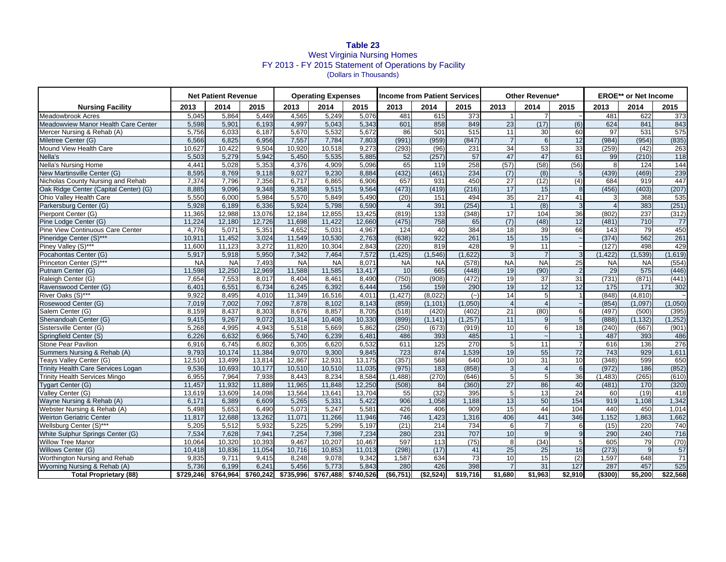## **Table 23** West Virginia Nursing Homes FY 2013 - FY 2015 Statement of Operations by Facility (Dollars in Thousands)

|                                           |        | <b>Net Patient Revenue</b> |        | <b>Operating Expenses</b> |           |           | <b>Income from Patient Services</b> |                  |                  | Other Revenue* |                  |                  | <b>EROE**</b> or Net Income |                  |          |
|-------------------------------------------|--------|----------------------------|--------|---------------------------|-----------|-----------|-------------------------------------|------------------|------------------|----------------|------------------|------------------|-----------------------------|------------------|----------|
| <b>Nursing Facility</b>                   | 2013   | 2014                       | 2015   | 2013                      | 2014      | 2015      | 2013                                | 2014             | 2015             | 2013           | 2014             | 2015             | 2013                        | 2014             | 2015     |
| <b>Meadowbrook Acres</b>                  | 5,045  | 5,864                      | 5,449  | 4,565                     | 5,249     | 5,076     | 481                                 | 615              | $\overline{373}$ | $\vert$        | $\overline{7}$   |                  | 481                         | 622              | 373      |
| Meadowview Manor Health Care Center       | 5,598  | 5,901                      | 6,193  | 4.997                     | 5,043     | 5.343     | 601                                 | 858              | 849              | 23             | (17)             | (6)              | 624                         | 841              | 843      |
| Mercer Nursing & Rehab (A)                | 5,756  | 6,033                      | 6,187  | 5,670                     | 5,532     | 5,672     | 86                                  | 501              | 515              | 11             | 30               | 60               | 97                          | 531              | 575      |
| Miletree Center (G)                       | 6,566  | 6.825                      | 6.956  | 7.557                     | 7,784     | 7,803     | (991)                               | (959)            | (847)            | $\overline{7}$ | $6 \overline{6}$ | 12               | (984)                       | (954)            | (835)    |
| Mound View Health Care                    | 10,627 | 10,422                     | 9,504  | 10,920                    | 10,518    | 9,273     | (293)                               | (96)             | 231              | 34             | 53               | 33               | (259)                       | (42)             | 263      |
| Nella's                                   | 5,503  | 5,279                      | 5,942  | 5,450                     | 5,535     | 5,885     | 52                                  | (257)            | 57               | 47             | 47               | 61               | 99                          | (210)            | 118      |
| <b>Nella's Nursing Home</b>               | 4.441  | 5.028                      | 5.353  | 4,376                     | 4.909     | 5.096     | 65                                  | 119              | 258              | (57)           | (58)             | (56)             | 8                           | 124              | 144      |
| New Martinsville Center (G)               | 8,595  | 8,769                      | 9,118  | 9,027                     | 9,230     | 8,884     | (432)                               | (461)            | 234              | (7)            | (8)              | 5 <sub>l</sub>   | (439)                       | (469)            | 239      |
| <b>Nicholas County Nursing and Rehab</b>  | 7.374  | 7.796                      | 7.356  | 6.717                     | 6.865     | 6.906     | 657                                 | 931              | 450              | 27             | (12)             | (4)              | 684                         | 919              | 447      |
| Oak Ridge Center (Capital Center) (G)     | 8,885  | 9,096                      | 9.348  | 9,358                     | 9,515     | 9,564     | (473)                               | (419)            | (216)            | 17             | 15               | 8                | (456)                       | (403)            | (207)    |
| Ohio Valley Health Care                   | 5,550  | 6,000                      | 5,984  | 5,570                     | 5,849     | 5,490     | (20)                                | 151              | 494              | 35             | 217              | 41               | 3                           | 368              | 535      |
| Parkersburg Center (G)                    | 5,928  | 6,189                      | 6,336  | 5,924                     | 5,798     | 6,590     | $\overline{4}$                      | 391              | (254)            | $\mathbf{1}$   | (8)              | 3                | $\overline{4}$              | 383              | (251)    |
| Pierpont Center (G)                       | 11,365 | 12,988                     | 13,076 | 12,184                    | 12,855    | 13,425    | (819)                               | $\overline{133}$ | (348)            | 17             | 104              | 36               | (802)                       | 237              | (312)    |
| Pine Lodge Center (G)                     | 11.224 | 12.180                     | 12.726 | 11.698                    | 11.422    | 12.660    | (475)                               | 758              | 65               | (7)            | (48)             | 12               | (481)                       | $\overline{710}$ | 77       |
| Pine View Continuous Care Center          | 4,776  | 5,071                      | 5,351  | 4,652                     | 5,031     | 4,967     | 124                                 | 40               | 384              | 18             | 39               | 66               | 143                         | 79               | 450      |
| Pineridge Center (S)***                   | 10,911 | 11,452                     | 3,024  | 11,549                    | 10,530    | 2,763     | (638)                               | 922              | 261              | 15             | 15               |                  | (374)                       | 562              | 261      |
| Piney Valley (S)***                       | 11.600 | 11,123                     | 3.272  | 11.820                    | 10,304    | 2.843     | (220)                               | 819              | 428              | 9              | 11               |                  | (127)                       | 498              | 429      |
| Pocahontas Center (G)                     | 5,917  | 5,918                      | 5.950  | 7.342                     | 7.464     | 7,572     | (1, 425)                            | (1.546)          | (1.622)          | $\mathbf{3}$   | $\overline{7}$   | $\mathcal{R}$    | (1, 422)                    | (1,539)          | (1,619)  |
| Princeton Center (S)***                   | NA     | <b>NA</b>                  | 7,493  | <b>NA</b>                 | <b>NA</b> | 8,071     | NA                                  | NA               | (578)            | <b>NA</b>      | <b>NA</b>        | 25               | <b>NA</b>                   | <b>NA</b>        | (554)    |
| Putnam Center (G)                         | 11,598 | 12,250                     | 12,969 | 11,588                    | 11,585    | 13,417    | 10                                  | 665              | (448)            | 19             | (90)             | $\overline{2}$   | 29                          | 575              | (446)    |
| Raleigh Center (G)                        | 7,654  | 7,553                      | 8,017  | 8.404                     | 8,461     | 8,490     | (750)                               | (908)            | (472)            | 19             | 37               | 31               | (731)                       | (871)            | (441)    |
| Ravenswood Center (G)                     | 6.401  | 6,551                      | 6.734  | 6.245                     | 6.392     | 6.444     | 156                                 | 159              | 290              | 19             | 12               | 12               | 175                         | 171              | 302      |
| River Oaks (S)***                         | 9.922  | 8.495                      | 4.010  | 11.349                    | 16,516    | 4,011     | (1.427)                             | (8,022)          | (∼)              | 14             | 5 <sub>5</sub>   |                  | (848)                       | (4, 810)         |          |
| Rosewood Center (G)                       | 7,019  | 7,002                      | 7,092  | 7,878                     | 8,102     | 8,143     | (859)                               | (1, 101)         | (1,050)          | $\overline{4}$ | $\overline{4}$   |                  | (854)                       | (1,097)          | (1,050)  |
| Salem Center (G)                          | 8.159  | 8.437                      | 8.303  | 8.676                     | 8.857     | 8.705     | (518)                               | (420)            | (402)            | 21             | (80)             | 6                | (497)                       | (500)            | (395)    |
| Shenandoah Center (G)                     | 9,415  | 9,267                      | 9.072  | 10,314                    | 10,408    | 10,330    | (899)                               | (1.141)          | (1, 257)         | 11             | 9                | 5 <sub>l</sub>   | (888)                       | (1, 132)         | (1, 252) |
| Sistersville Center (G)                   | 5,268  | 4,995                      | 4,943  | 5,518                     | 5,669     | 5,862     | (250)                               | (673)            | (919)            | 10             | 6                | 18               | (240)                       | (667)            | (901)    |
| Springfield Center (S)                    | 6.226  | 6,632                      | 6.966  | 5,740                     | 6,239     | 6,481     | 486                                 | 393              | 485              | $\mathbf{1}$   |                  |                  | 487                         | 393              | 486      |
| <b>Stone Pear Pavilion</b>                | 6,916  | 6,745                      | 6,802  | 6,305                     | 6,620     | 6,532     | 611                                 | $\frac{125}{25}$ | 270              | 5              | 11               |                  | 616                         | 136              | 276      |
| Summers Nursing & Rehab (A)               | 9.793  | 10,174                     | 11,384 | 9.070                     | 9.300     | 9,845     | 723                                 | 874              | 1.539            | 19             | 55               | $\overline{72}$  | 743                         | 929              | 1,611    |
| Teays Valley Center (G)                   | 12,510 | 13,499                     | 13,814 | 12,867                    | 12,931    | 13,175    | (357)                               | 568              | 640              | 10             | 31               | 10               | (348)                       | 599              | 650      |
| <b>Trinity Health Care Services Logan</b> | 9,536  | 10,693                     | 10,177 | 10,510                    | 10,510    | 11,035    | (975)                               | 183              | (858)            | $\mathbf{3}$   | $\overline{4}$   | $6 \overline{6}$ | (972)                       | 186              | (852)    |
| <b>Trinity Health Services Mingo</b>      | 6,955  | 7,964                      | 7.938  | 8.443                     | 8,234     | 8.584     | (1.488)                             | (270)            | (646)            | 5              | $5\overline{)}$  | 36               | (1.483)                     | (265)            | (610)    |
| <b>Tygart Center (G)</b>                  | 11,457 | 11,932                     | 11.889 | 11,965                    | 11,848    | 12,250    | (508)                               | 84               | (360)            | 27             | 86               | 40               | (481)                       | 170              | (320)    |
| Valley Center (G)                         | 13,619 | 13,609                     | 14,098 | 13,564                    | 13,641    | 13,704    | 55                                  | (32)             | 395              | 5              | 13               | 24               | 60                          | (19)             | 418      |
| Wayne Nursing & Rehab (A)                 | 6,171  | 6,389                      | 6.609  | 5,265                     | 5,331     | 5,422     | 906                                 | 1.058            | 1.188            | 13             | 50               | 154              | 919                         | 1.108            | 1,342    |
| Webster Nursing & Rehab (A)               | 5,498  | 5,653                      | 6.490  | 5,073                     | 5,247     | 5,581     | 426                                 | 406              | 909              | 15             | 44               | 104              | 440                         | 450              | 1,014    |
| <b>Weirton Geriatric Center</b>           | 11,817 | 12,688                     | 13,262 | 11,071                    | 11,266    | 11,946    | 746                                 | 1,423            | 1,316            | 406            | 441              | 346              | 1.152                       | 1.863            | 1,662    |
| Wellsburg Center (S)***                   | 5,205  | 5,512                      | 5,932  | 5.225                     | 5.299     | 5,197     | (21)                                | 214              | 734              | 6              | $\overline{7}$   | 6                | (15)                        | 220              | 740      |
| White Sulphur Springs Center (G)          | 7,534  | 7,628                      | 7,941  | 7,254                     | 7,398     | 7,234     | 280                                 | 231              | 707              | 10             | 9                | 9                | 290                         | 240              | 716      |
| <b>Willow Tree Manor</b>                  | 10.064 | 10.320                     | 10.393 | 9.467                     | 10.207    | 10.467    | 597                                 | 113              | (75)             | 8              | (34)             | 5                | 605                         | 79               | (70)     |
| Willows Center (G)                        | 10,418 | 10,836                     | 11,054 | 10,716                    | 10,853    | 11,013    | (298)                               | (17)             | 41               | 25             | 25               | 16               | (273)                       | 9                | 57       |
| Worthington Nursing and Rehab             | 9.835  | 9,711                      | 9,415  | 8.248                     | 9.078     | 9.342     | 1.587                               | 634              | 73               | 10             | 15               | (2)              | 1.597                       | 648              | 71       |
| Wyoming Nursing & Rehab (A)               | 5,736  | 6,199                      | 6,241  | 5,456                     | 5,773     | 5,843     | 280                                 | 426              | 398              | 7              | $\overline{31}$  | 127              | 287                         | 457              | 525      |
| <b>Total Proprietary (88)</b>             |        | \$729,246 \$764,964        |        | \$760,242 \$735,996       | \$767,488 | \$740,526 | $($ \$6,751)                        | $($ \$2,524)     | \$19,716         | \$1,680        | \$1,963          | \$2,910          | ( \$300)                    | \$5,200          | \$22,568 |